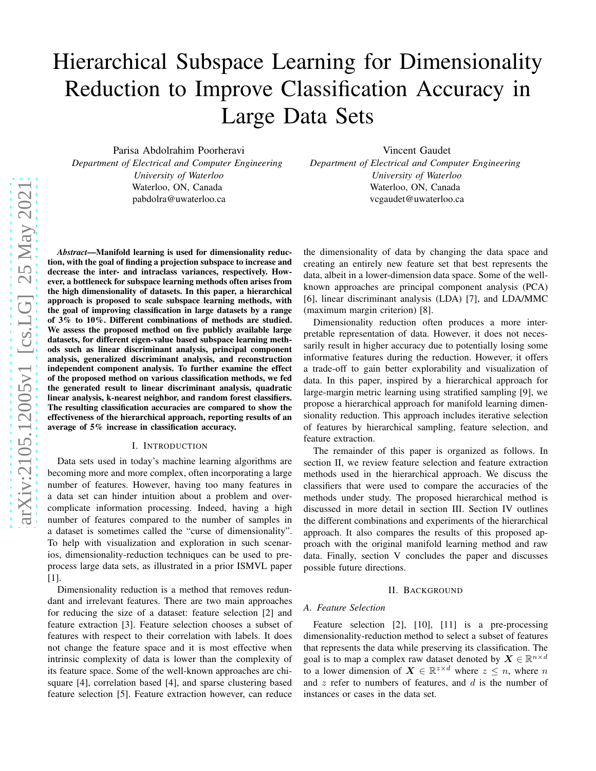# Hierarchical Subspace Learning for Dimensionality Reduction to Improve Classification Accuracy in Large Data Sets

Parisa Abdolrahim Poorheravi *Department of Electrical and Computer Engineering University of Waterloo* Waterloo, ON, Canada pabdolra@uwaterloo.ca

Vincent Gaudet *Department of Electrical and Computer Engineering University of Waterloo* Waterloo, ON, Canada vcgaudet@uwaterloo.ca

*Abstract*—Manifold learning is used for dimensionality reduction, with the goal of finding a projection subspace to increase and decrease the inter- and intraclass variances, respectively. However, a bottleneck for subspace learning methods often arises from the high dimensionality of datasets. In this paper, a hierarchical approach is proposed to scale subspace learning methods, with the goal of improving classification in large datasets by a range of 3% to 10%. Different combinations of methods are studied. We assess the proposed method on five publicly available large datasets, for different eigen-value based subspace learning methods such as linear discriminant analysis, principal component analysis, generalized discriminant analysis, and reconstruction independent component analysis. To further examine the effect of the proposed method on various classification methods, we fed the generated result to linear discriminant analysis, quadratic linear analysis, k-nearest neighbor, and random forest classifiers. The resulting classification accuracies are compared to show the effectiveness of the hierarchical approach, reporting results of an average of 5% increase in classification accuracy.

#### I. INTRODUCTION

Data sets used in today's machine learning algorithms are becoming more and more complex, often incorporating a large number of features. However, having too many features in a data set can hinder intuition about a problem and overcomplicate information processing. Indeed, having a high number of features compared to the number of samples in a dataset is sometimes called the "curse of dimensionality". To help with visualization and exploration in such scenarios, dimensionality-reduction techniques can be used to preprocess large data sets, as illustrated in a prior ISMVL paper [1].

Dimensionality reduction is a method that removes redundant and irrelevant features. There are two main approaches for reducing the size of a dataset: feature selection [2] and feature extraction [3]. Feature selection chooses a subset of features with respect to their correlation with labels. It does not change the feature space and it is most effective when intrinsic complexity of data is lower than the complexity of its feature space. Some of the well-known approaches are chisquare [4], correlation based [4], and sparse clustering based feature selection [5]. Feature extraction however, can reduce

the dimensionality of data by changing the data space and creating an entirely new feature set that best represents the data, albeit in a lower-dimension data space. Some of the wellknown approaches are principal component analysis (PCA) [6], linear discriminant analysis (LDA) [7], and LDA/MMC (maximum margin criterion) [8].

Dimensionality reduction often produces a more interpretable representation of data. However, it does not necessarily result in higher accuracy due to potentially losing some informative features during the reduction. However, it offers a trade-off to gain better explorability and visualization of data. In this paper, inspired by a hierarchical approach for large-margin metric learning using stratified sampling [9], we propose a hierarchical approach for manifold learning dimensionality reduction. This approach includes iterative selection of features by hierarchical sampling, feature selection, and feature extraction.

The remainder of this paper is organized as follows. In section II, we review feature selection and feature extraction methods used in the hierarchical approach. We discuss the classifiers that were used to compare the accuracies of the methods under study. The proposed hierarchical method is discussed in more detail in section III. Section IV outlines the different combinations and experiments of the hierarchical approach. It also compares the results of this proposed approach with the original manifold learning method and raw data. Finally, section V concludes the paper and discusses possible future directions.

## II. BACKGROUND

#### *A. Feature Selection*

Feature selection [2], [10], [11] is a pre-processing dimensionality-reduction method to select a subset of features that represents the data while preserving its classification. The goal is to map a complex raw dataset denoted by  $X \in \mathbb{R}^{n \times d}$ to a lower dimension of  $X \in \mathbb{R}^{z \times d}$  where  $z \leq n$ , where n and  $z$  refer to numbers of features, and  $d$  is the number of instances or cases in the data set.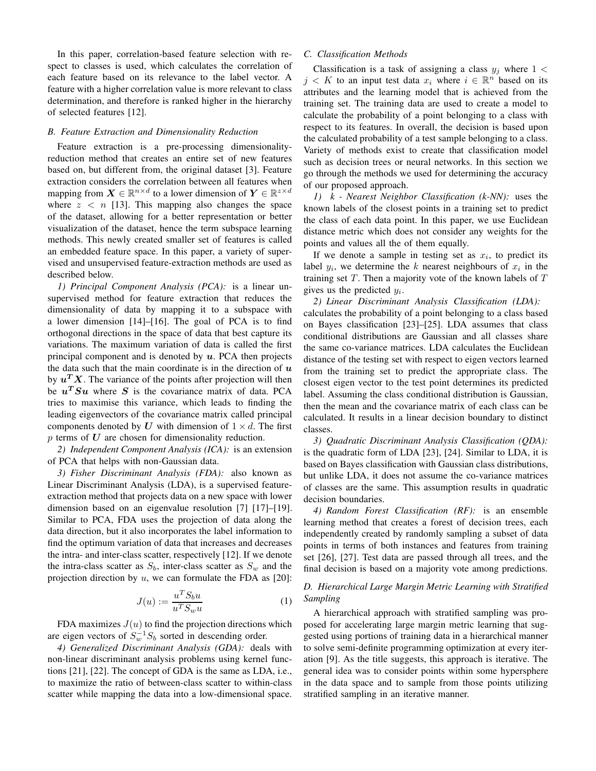In this paper, correlation-based feature selection with respect to classes is used, which calculates the correlation of each feature based on its relevance to the label vector. A feature with a higher correlation value is more relevant to class determination, and therefore is ranked higher in the hierarchy of selected features [12].

## *B. Feature Extraction and Dimensionality Reduction*

Feature extraction is a pre-processing dimensionalityreduction method that creates an entire set of new features based on, but different from, the original dataset [3]. Feature extraction considers the correlation between all features when mapping from  $\mathbf{X} \in \mathbb{R}^{n \times d}$  to a lower dimension of  $\mathbf{Y} \in \mathbb{R}^{z \times d}$ where  $z \leq n$  [13]. This mapping also changes the space of the dataset, allowing for a better representation or better visualization of the dataset, hence the term subspace learning methods. This newly created smaller set of features is called an embedded feature space. In this paper, a variety of supervised and unsupervised feature-extraction methods are used as described below.

*1) Principal Component Analysis (PCA):* is a linear unsupervised method for feature extraction that reduces the dimensionality of data by mapping it to a subspace with a lower dimension [14]–[16]. The goal of PCA is to find orthogonal directions in the space of data that best capture its variations. The maximum variation of data is called the first principal component and is denoted by  $u$ . PCA then projects the data such that the main coordinate is in the direction of  $u$ by  $u^T X$ . The variance of the points after projection will then be  $u^T S u$  where S is the covariance matrix of data. PCA tries to maximise this variance, which leads to finding the leading eigenvectors of the covariance matrix called principal components denoted by U with dimension of  $1 \times d$ . The first  $p$  terms of  $U$  are chosen for dimensionality reduction.

*2) Independent Component Analysis (ICA):* is an extension of PCA that helps with non-Gaussian data.

*3) Fisher Discriminant Analysis (FDA):* also known as Linear Discriminant Analysis (LDA), is a supervised featureextraction method that projects data on a new space with lower dimension based on an eigenvalue resolution [7] [17]–[19]. Similar to PCA, FDA uses the projection of data along the data direction, but it also incorporates the label information to find the optimum variation of data that increases and decreases the intra- and inter-class scatter, respectively [12]. If we denote the intra-class scatter as  $S_b$ , inter-class scatter as  $S_w$  and the projection direction by  $u$ , we can formulate the FDA as [20]:

$$
J(u) := \frac{u^T S_b u}{u^T S_w u} \tag{1}
$$

FDA maximizes  $J(u)$  to find the projection directions which are eigen vectors of  $S_w^{-1}S_b$  sorted in descending order.

*4) Generalized Discriminant Analysis (GDA):* deals with non-linear discriminant analysis problems using kernel functions [21], [22]. The concept of GDA is the same as LDA, i.e., to maximize the ratio of between-class scatter to within-class scatter while mapping the data into a low-dimensional space.

## *C. Classification Methods*

Classification is a task of assigning a class  $y_j$  where  $1 <$  $j < K$  to an input test data  $x_i$  where  $i \in \mathbb{R}^n$  based on its attributes and the learning model that is achieved from the training set. The training data are used to create a model to calculate the probability of a point belonging to a class with respect to its features. In overall, the decision is based upon the calculated probability of a test sample belonging to a class. Variety of methods exist to create that classification model such as decision trees or neural networks. In this section we go through the methods we used for determining the accuracy of our proposed approach.

*1) k - Nearest Neighbor Classification (k-NN):* uses the known labels of the closest points in a training set to predict the class of each data point. In this paper, we use Euclidean distance metric which does not consider any weights for the points and values all the of them equally.

If we denote a sample in testing set as  $x_i$ , to predict its label  $y_i$ , we determine the k nearest neighbours of  $x_i$  in the training set  $T$ . Then a majority vote of the known labels of  $T$ gives us the predicted  $y_i$ .

*2) Linear Discriminant Analysis Classification (LDA):* calculates the probability of a point belonging to a class based on Bayes classification [23]–[25]. LDA assumes that class conditional distributions are Gaussian and all classes share the same co-variance matrices. LDA calculates the Euclidean distance of the testing set with respect to eigen vectors learned from the training set to predict the appropriate class. The closest eigen vector to the test point determines its predicted label. Assuming the class conditional distribution is Gaussian, then the mean and the covariance matrix of each class can be calculated. It results in a linear decision boundary to distinct classes.

*3) Quadratic Discriminant Analysis Classification (QDA):* is the quadratic form of LDA [23], [24]. Similar to LDA, it is based on Bayes classification with Gaussian class distributions, but unlike LDA, it does not assume the co-variance matrices of classes are the same. This assumption results in quadratic decision boundaries.

*4) Random Forest Classification (RF):* is an ensemble learning method that creates a forest of decision trees, each independently created by randomly sampling a subset of data points in terms of both instances and features from training set [26], [27]. Test data are passed through all trees, and the final decision is based on a majority vote among predictions.

## *D. Hierarchical Large Margin Metric Learning with Stratified Sampling*

A hierarchical approach with stratified sampling was proposed for accelerating large margin metric learning that suggested using portions of training data in a hierarchical manner to solve semi-definite programming optimization at every iteration [9]. As the title suggests, this approach is iterative. The general idea was to consider points within some hypersphere in the data space and to sample from those points utilizing stratified sampling in an iterative manner.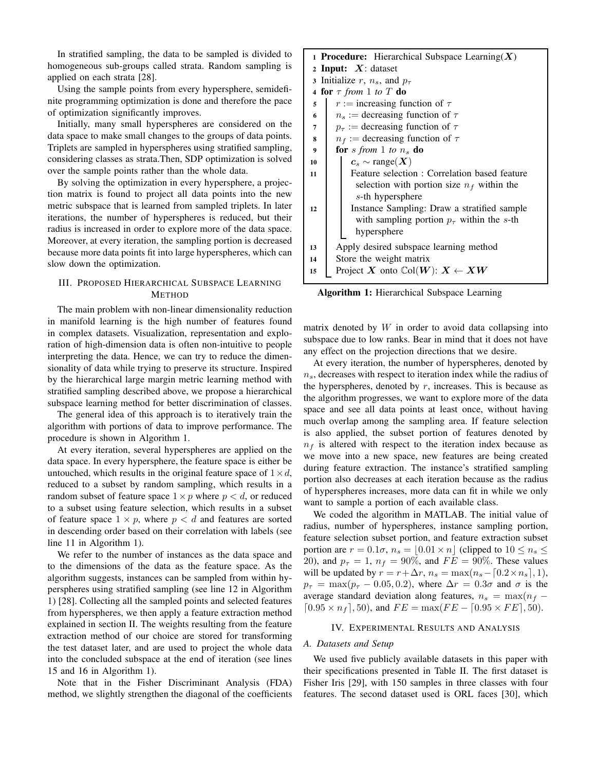In stratified sampling, the data to be sampled is divided to homogeneous sub-groups called strata. Random sampling is applied on each strata [28].

Using the sample points from every hypersphere, semidefinite programming optimization is done and therefore the pace of optimization significantly improves.

Initially, many small hyperspheres are considered on the data space to make small changes to the groups of data points. Triplets are sampled in hyperspheres using stratified sampling, considering classes as strata.Then, SDP optimization is solved over the sample points rather than the whole data.

By solving the optimization in every hypersphere, a projection matrix is found to project all data points into the new metric subspace that is learned from sampled triplets. In later iterations, the number of hyperspheres is reduced, but their radius is increased in order to explore more of the data space. Moreover, at every iteration, the sampling portion is decreased because more data points fit into large hyperspheres, which can slow down the optimization.

# III. PROPOSED HIERARCHICAL SUBSPACE LEARNING **METHOD**

The main problem with non-linear dimensionality reduction in manifold learning is the high number of features found in complex datasets. Visualization, representation and exploration of high-dimension data is often non-intuitive to people interpreting the data. Hence, we can try to reduce the dimensionality of data while trying to preserve its structure. Inspired by the hierarchical large margin metric learning method with stratified sampling described above, we propose a hierarchical subspace learning method for better discrimination of classes.

The general idea of this approach is to iteratively train the algorithm with portions of data to improve performance. The procedure is shown in Algorithm 1.

At every iteration, several hyperspheres are applied on the data space. In every hypersphere, the feature space is either be untouched, which results in the original feature space of  $1 \times d$ , reduced to a subset by random sampling, which results in a random subset of feature space  $1 \times p$  where  $p < d$ , or reduced to a subset using feature selection, which results in a subset of feature space  $1 \times p$ , where  $p < d$  and features are sorted in descending order based on their correlation with labels (see line 11 in Algorithm 1).

We refer to the number of instances as the data space and to the dimensions of the data as the feature space. As the algorithm suggests, instances can be sampled from within hyperspheres using stratified sampling (see line 12 in Algorithm 1) [28]. Collecting all the sampled points and selected features from hyperspheres, we then apply a feature extraction method explained in section II. The weights resulting from the feature extraction method of our choice are stored for transforming the test dataset later, and are used to project the whole data into the concluded subspace at the end of iteration (see lines 15 and 16 in Algorithm 1).

Note that in the Fisher Discriminant Analysis (FDA) method, we slightly strengthen the diagonal of the coefficients

| <b>1 Procedure:</b> Hierarchical Subspace Learning $(X)$ |                                                    |  |  |  |  |  |  |  |
|----------------------------------------------------------|----------------------------------------------------|--|--|--|--|--|--|--|
| 2 Input: $X$ : dataset                                   |                                                    |  |  |  |  |  |  |  |
| 3 Initialize r, $n_s$ , and $p_\tau$                     |                                                    |  |  |  |  |  |  |  |
|                                                          | 4 for $\tau$ from 1 to T do                        |  |  |  |  |  |  |  |
| 5                                                        | $r :=$ increasing function of $\tau$               |  |  |  |  |  |  |  |
| 6                                                        | $n_s$ := decreasing function of $\tau$             |  |  |  |  |  |  |  |
| $\overline{7}$                                           | $p_{\tau}$ := decreasing function of $\tau$        |  |  |  |  |  |  |  |
| 8                                                        | $n_f$ := decreasing function of $\tau$             |  |  |  |  |  |  |  |
| 9                                                        | for s from 1 to $n_s$ do                           |  |  |  |  |  |  |  |
| 10                                                       | $c_s \sim \text{range}(X)$                         |  |  |  |  |  |  |  |
| 11                                                       | Feature selection : Correlation based feature      |  |  |  |  |  |  |  |
|                                                          | selection with portion size $n_f$ within the       |  |  |  |  |  |  |  |
|                                                          | s-th hypersphere                                   |  |  |  |  |  |  |  |
| 12                                                       | Instance Sampling: Draw a stratified sample        |  |  |  |  |  |  |  |
|                                                          | with sampling portion $p_{\tau}$ within the s-th   |  |  |  |  |  |  |  |
|                                                          | hypersphere                                        |  |  |  |  |  |  |  |
| 13                                                       | Apply desired subspace learning method             |  |  |  |  |  |  |  |
| 14                                                       | Store the weight matrix                            |  |  |  |  |  |  |  |
| 15                                                       | Project X onto $\text{Col}(W)$ : $X \leftarrow XW$ |  |  |  |  |  |  |  |

Algorithm 1: Hierarchical Subspace Learning

matrix denoted by  $W$  in order to avoid data collapsing into subspace due to low ranks. Bear in mind that it does not have any effect on the projection directions that we desire.

At every iteration, the number of hyperspheres, denoted by  $n<sub>s</sub>$ , decreases with respect to iteration index while the radius of the hyperspheres, denoted by  $r$ , increases. This is because as the algorithm progresses, we want to explore more of the data space and see all data points at least once, without having much overlap among the sampling area. If feature selection is also applied, the subset portion of features denoted by  $n_f$  is altered with respect to the iteration index because as we move into a new space, new features are being created during feature extraction. The instance's stratified sampling portion also decreases at each iteration because as the radius of hyperspheres increases, more data can fit in while we only want to sample a portion of each available class.

We coded the algorithm in MATLAB. The initial value of radius, number of hyperspheres, instance sampling portion, feature selection subset portion, and feature extraction subset portion are  $r = 0.1\sigma$ ,  $n_s = |0.01 \times n|$  (clipped to  $10 \leq n_s \leq$ 20), and  $p_{\tau} = 1$ ,  $n_f = 90\%$ , and  $FE = 90\%$ . These values will be updated by  $r = r + \Delta r$ ,  $n_s = \max(n_s - [0.2 \times n_s], 1)$ ,  $p_{\tau} = \max(p_{\tau} - 0.05, 0.2)$ , where  $\Delta r = 0.3\sigma$  and  $\sigma$  is the average standard deviation along features,  $n_s = \max(n_f [0.95 \times n_f]$ , 50), and  $FE = \max(FE - [0.95 \times FE]$ , 50).

## IV. EXPERIMENTAL RESULTS AND ANALYSIS

### *A. Datasets and Setup*

We used five publicly available datasets in this paper with their specifications presented in Table II. The first dataset is Fisher Iris [29], with 150 samples in three classes with four features. The second dataset used is ORL faces [30], which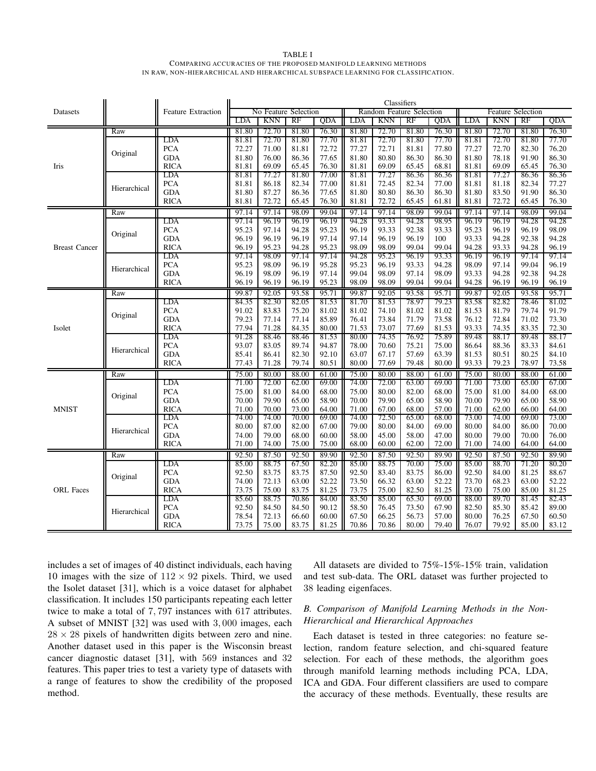TABLE I COMPARING ACCURACIES OF THE PROPOSED MANIFOLD LEARNING METHODS IN RAW, NON-HIERARCHICAL AND HIERARCHICAL SUBSPACE LEARNING FOR CLASSIFICATION.

|                      |              | <b>Feature Extraction</b> | Classifiers |            |                      |       |       |                          |       |       |       |            |                          |       |
|----------------------|--------------|---------------------------|-------------|------------|----------------------|-------|-------|--------------------------|-------|-------|-------|------------|--------------------------|-------|
| Datasets             |              |                           |             |            | No Feature Selection |       |       | Random Feature Selection |       |       |       |            | <b>Feature Selection</b> |       |
|                      |              |                           | LDA         | <b>KNN</b> | RF                   | QDA   | LDA   | <b>KNN</b>               | RF    | QDA   | LDA   | <b>KNN</b> | RF                       | QDA   |
|                      | Raw          |                           | 81.80       | 72.70      | 81.80                | 76.30 | 81.80 | 72.70                    | 81.80 | 76.30 | 81.80 | 72.70      | 81.80                    | 76.30 |
| Iris                 | Original     | LDA                       | 81.81       | 72.70      | 81.80                | 77.70 | 81.81 | 72.70                    | 81.80 | 77.70 | 81.81 | 72.70      | 81.80                    | 77.70 |
|                      |              | <b>PCA</b>                | 72.27       | 71.00      | 81.81                | 72.72 | 77.27 | 72.71                    | 81.81 | 77.80 | 77.27 | 72.70      | 82.30                    | 76.20 |
|                      |              | <b>GDA</b>                | 81.80       | 76.00      | 86.36                | 77.65 | 81.80 | 80.80                    | 86.30 | 86.30 | 81.80 | 78.18      | 91.90                    | 86.30 |
|                      |              | <b>RICA</b>               | 81.81       | 69.09      | 65.45                | 76.30 | 81.81 | 69.09                    | 65.45 | 68.81 | 81.81 | 69.09      | 65.45                    | 76.30 |
|                      | Hierarchical | LDA                       | 81.81       | 77.27      | 81.80                | 77.00 | 81.81 | 77.27                    | 86.36 | 86.36 | 81.81 | 77.27      | 86.36                    | 86.36 |
|                      |              | <b>PCA</b>                | 81.81       | 86.18      | 82.34                | 77.00 | 81.81 | 72.45                    | 82.34 | 77.00 | 81.81 | 81.18      | 82.34                    | 77.27 |
|                      |              | <b>GDA</b>                | 81.80       | 87.27      | 86.36                | 77.65 | 81.80 | 80.80                    | 86.30 | 86.30 | 81.80 | 83.50      | 91.90                    | 86.30 |
|                      |              | <b>RICA</b>               | 81.81       | 72.72      | 65.45                | 76.30 | 81.81 | 72.72                    | 65.45 | 61.81 | 81.81 | 72.72      | 65.45                    | 76.30 |
|                      | Raw          |                           | 97.14       | 97.14      | 98.09                | 99.04 | 97.14 | 97.14                    | 98.09 | 99.04 | 97.14 | 97.14      | 98.09                    | 99.04 |
|                      |              | LDA                       | 97.14       | 96.19      | 96.19                | 96.19 | 94.28 | 93.33                    | 94.28 | 98.95 | 96.19 | 96.19      | 94.28                    | 94.28 |
|                      | Original     | <b>PCA</b>                | 95.23       | 97.14      | 94.28                | 95.23 | 96.19 | 93.33                    | 92.38 | 93.33 | 95.23 | 96.19      | 96.19                    | 98.09 |
|                      |              | <b>GDA</b>                | 96.19       | 96.19      | 96.19                | 97.14 | 97.14 | 96.19                    | 96.19 | 100   | 93.33 | 94.28      | 92.38                    | 94.28 |
| <b>Breast Cancer</b> |              | <b>RICA</b>               | 96.19       | 95.23      | 94.28                | 95.23 | 98.09 | 98.09                    | 99.04 | 99.04 | 94.28 | 93.33      | 94.28                    | 96.19 |
|                      |              | LDA                       | 97.14       | 98.09      | 97.14                | 97.14 | 94.28 | 95.23                    | 96.19 | 93.33 | 96.19 | 96.19      | 97.14                    | 97.14 |
|                      | Hierarchical | <b>PCA</b>                | 95.23       | 98.09      | 96.19                | 95.28 | 95.23 | 96.19                    | 93.33 | 94.28 | 98.09 | 97.14      | 99.04                    | 96.19 |
|                      |              | <b>GDA</b>                | 96.19       | 98.09      | 96.19                | 97.14 | 99.04 | 98.09                    | 97.14 | 98.09 | 93.33 | 94.28      | 92.38                    | 94.28 |
|                      |              | <b>RICA</b>               | 96.19       | 96.19      | 96.19                | 95.23 | 98.09 | 98.09                    | 99.04 | 99.04 | 94.28 | 96.19      | 96.19                    | 96.19 |
|                      | Raw          |                           | 99.87       | 92.05      | 93.58                | 95.71 | 99.87 | 92.05                    | 93.58 | 95.71 | 99.87 | 92.05      | 93.58                    | 95.71 |
|                      |              | <b>LDA</b>                | 84.35       | 82.30      | 82.05                | 81.53 | 81.70 | 81.53                    | 78.97 | 79.23 | 83.58 | 82.82      | 78.46                    | 81.02 |
|                      | Original     | <b>PCA</b>                | 91.02       | 83.83      | 75.20                | 81.02 | 81.02 | 74.10                    | 81.02 | 81.02 | 81.53 | 81.79      | 79.74                    | 91.79 |
|                      |              | <b>GDA</b>                | 79.23       | 77.14      | 77.14                | 85.89 | 76.41 | 73.84                    | 71.79 | 73.58 | 76.12 | 72.84      | 71.02                    | 73.30 |
| Isolet               |              | <b>RICA</b>               | 77.94       | 71.28      | 84.35                | 80.00 | 71.53 | 73.07                    | 77.69 | 81.53 | 93.33 | 74.35      | 83.35                    | 72.30 |
|                      |              | LDA                       | 91.28       | 88.46      | 88.46                | 81.53 | 80.00 | 74.35                    | 76.92 | 75.89 | 89.48 | 88.17      | 89.48                    | 88.17 |
|                      | Hierarchical | <b>PCA</b>                | 93.07       | 83.05      | 89.74                | 94.87 | 78.00 | 70.60                    | 75.21 | 75.00 | 86.64 | 88.36      | 83.33                    | 84.61 |
|                      |              | <b>GDA</b>                | 85.41       | 86.41      | 82.30                | 92.10 | 63.07 | 67.17                    | 57.69 | 63.39 | 81.53 | 80.51      | 80.25                    | 84.10 |
|                      |              | <b>RICA</b>               | 77.43       | 71.28      | 79.74                | 80.51 | 80.00 | 77.69                    | 79.48 | 80.00 | 93.33 | 79.23      | 78.97                    | 73.58 |
|                      | Raw          |                           | 75.00       | 80.00      | 88.00                | 61.00 | 75.00 | 80.00                    | 88.00 | 61.00 | 75.00 | 80.00      | 88.00                    | 61.00 |
|                      | Original     | LDA                       | 71.00       | 72.00      | 62.00                | 69.00 | 74.00 | 72.00                    | 63.00 | 69.00 | 71.00 | 73.00      | 65.00                    | 67.00 |
|                      |              | <b>PCA</b>                | 75.00       | 81.00      | 84.00                | 68.00 | 75.00 | 80.00                    | 82.00 | 68.00 | 75.00 | 81.00      | 84.00                    | 68.00 |
|                      |              | <b>GDA</b>                | 70.00       | 79.90      | 65.00                | 58.90 | 70.00 | 79.90                    | 65.00 | 58.90 | 70.00 | 79.90      | 65.00                    | 58.90 |
| <b>MNIST</b>         |              | <b>RICA</b>               | 71.00       | 70.00      | 73.00                | 64.00 | 71.00 | 67.00                    | 68.00 | 57.00 | 71.00 | 62.00      | 66.00                    | 64.00 |
|                      | Hierarchical | LDA                       | 74.00       | 74.00      | 70.00                | 69.00 | 74.00 | 72.50                    | 65.00 | 68.00 | 73.00 | 74.00      | 69.00                    | 73.00 |
|                      |              | <b>PCA</b>                | 80.00       | 87.00      | 82.00                | 67.00 | 79.00 | 80.00                    | 84.00 | 69.00 | 80.00 | 84.00      | 86.00                    | 70.00 |
|                      |              | <b>GDA</b>                | 74.00       | 79.00      | 68.00                | 60.00 | 58.00 | 45.00                    | 58.00 | 47.00 | 80.00 | 79.00      | 70.00                    | 76.00 |
|                      |              | <b>RICA</b>               | 71.00       | 74.00      | 75.00                | 75.00 | 68.00 | 60.00                    | 62.00 | 72.00 | 71.00 | 74.00      | 64.00                    | 64.00 |
|                      | Raw          |                           | 92.50       | 87.50      | 92.50                | 89.90 | 92.50 | 87.50                    | 92.50 | 89.90 | 92.50 | 87.50      | 92.50                    | 89.90 |
|                      | Original     | LDA                       | 85.00       | 88.75      | 67.50                | 82.20 | 85.00 | 88.75                    | 70.00 | 75.00 | 85.00 | 88.70      | 71.20                    | 80.20 |
|                      |              | <b>PCA</b>                | 92.50       | 83.75      | 83.75                | 87.50 | 92.50 | 83.40                    | 83.75 | 86.00 | 92.50 | 84.00      | 81.25                    | 88.67 |
|                      |              | <b>GDA</b>                | 74.00       | 72.13      | 63.00                | 52.22 | 73.50 | 66.32                    | 63.00 | 52.22 | 73.70 | 68.23      | 63.00                    | 52.22 |
| <b>ORL</b> Faces     |              | <b>RICA</b>               | 73.75       | 75.00      | 83.75                | 81.25 | 73.75 | 75.00                    | 82.50 | 81.25 | 73.00 | 75.00      | 85.00                    | 81.25 |
|                      | Hierarchical | LDA                       | 85.60       | 88.75      | 70.86                | 84.00 | 83.50 | 85.00                    | 65.30 | 69.00 | 88.00 | 89.70      | 81.45                    | 82.43 |
|                      |              | <b>PCA</b>                | 92.50       | 84.50      | 84.50                | 90.12 | 58.50 | 76.45                    | 73.50 | 67.90 | 82.50 | 85.30      | 85.42                    | 89.00 |
|                      |              | <b>GDA</b>                | 78.54       | 72.13      | 66.60                | 60.00 | 67.50 | 66.25                    | 56.73 | 57.00 | 80.00 | 76.25      | 67.50                    | 60.50 |
|                      |              | <b>RICA</b>               | 73.75       | 75.00      | 83.75                | 81.25 | 70.86 | 70.86                    | 80.00 | 79.40 | 76.07 | 79.92      | 85.00                    | 83.12 |

includes a set of images of 40 distinct individuals, each having 10 images with the size of  $112 \times 92$  pixels. Third, we used the Isolet dataset [31], which is a voice dataset for alphabet classification. It includes 150 participants repeating each letter twice to make a total of 7, 797 instances with 617 attributes. A subset of MNIST [32] was used with 3, 000 images, each  $28 \times 28$  pixels of handwritten digits between zero and nine. Another dataset used in this paper is the Wisconsin breast cancer diagnostic dataset [31], with 569 instances and 32 features. This paper tries to test a variety type of datasets with a range of features to show the credibility of the proposed method.

All datasets are divided to 75%-15%-15% train, validation and test sub-data. The ORL dataset was further projected to 38 leading eigenfaces.

# *B. Comparison of Manifold Learning Methods in the Non-Hierarchical and Hierarchical Approaches*

Each dataset is tested in three categories: no feature selection, random feature selection, and chi-squared feature selection. For each of these methods, the algorithm goes through manifold learning methods including PCA, LDA, ICA and GDA. Four different classifiers are used to compare the accuracy of these methods. Eventually, these results are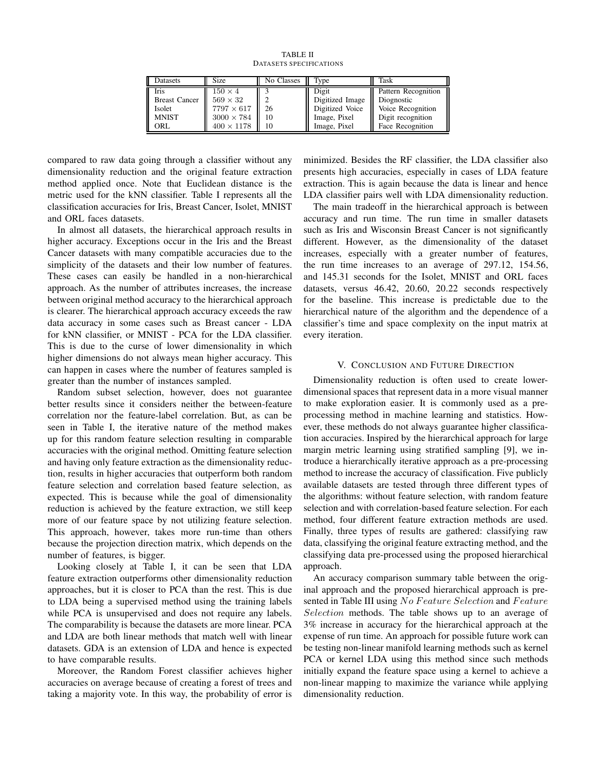TABLE II DATASETS SPECIFICATIONS

| <b>Iris</b><br>$150 \times 4$<br>$569 \times 32$<br><b>Breast Cancer</b><br>$7797 \times 617$<br>Isolet<br><b>MNIST</b><br>$3000 \times 784$<br>$400 \times 1178$<br>ORL | 26<br>10<br>10 | Digit<br>Digitized Image<br>Digitized Voice<br>Image, Pixel<br>Image, Pixel | Pattern Recognition<br>Diognostic<br>Voice Recognition<br>Digit recognition<br>Face Recognition |
|--------------------------------------------------------------------------------------------------------------------------------------------------------------------------|----------------|-----------------------------------------------------------------------------|-------------------------------------------------------------------------------------------------|

compared to raw data going through a classifier without any dimensionality reduction and the original feature extraction method applied once. Note that Euclidean distance is the metric used for the kNN classifier. Table I represents all the classification accuracies for Iris, Breast Cancer, Isolet, MNIST and ORL faces datasets.

In almost all datasets, the hierarchical approach results in higher accuracy. Exceptions occur in the Iris and the Breast Cancer datasets with many compatible accuracies due to the simplicity of the datasets and their low number of features. These cases can easily be handled in a non-hierarchical approach. As the number of attributes increases, the increase between original method accuracy to the hierarchical approach is clearer. The hierarchical approach accuracy exceeds the raw data accuracy in some cases such as Breast cancer - LDA for kNN classifier, or MNIST - PCA for the LDA classifier. This is due to the curse of lower dimensionality in which higher dimensions do not always mean higher accuracy. This can happen in cases where the number of features sampled is greater than the number of instances sampled.

Random subset selection, however, does not guarantee better results since it considers neither the between-feature correlation nor the feature-label correlation. But, as can be seen in Table I, the iterative nature of the method makes up for this random feature selection resulting in comparable accuracies with the original method. Omitting feature selection and having only feature extraction as the dimensionality reduction, results in higher accuracies that outperform both random feature selection and correlation based feature selection, as expected. This is because while the goal of dimensionality reduction is achieved by the feature extraction, we still keep more of our feature space by not utilizing feature selection. This approach, however, takes more run-time than others because the projection direction matrix, which depends on the number of features, is bigger.

Looking closely at Table I, it can be seen that LDA feature extraction outperforms other dimensionality reduction approaches, but it is closer to PCA than the rest. This is due to LDA being a supervised method using the training labels while PCA is unsupervised and does not require any labels. The comparability is because the datasets are more linear. PCA and LDA are both linear methods that match well with linear datasets. GDA is an extension of LDA and hence is expected to have comparable results.

Moreover, the Random Forest classifier achieves higher accuracies on average because of creating a forest of trees and taking a majority vote. In this way, the probability of error is

minimized. Besides the RF classifier, the LDA classifier also presents high accuracies, especially in cases of LDA feature extraction. This is again because the data is linear and hence LDA classifier pairs well with LDA dimensionality reduction.

The main tradeoff in the hierarchical approach is between accuracy and run time. The run time in smaller datasets such as Iris and Wisconsin Breast Cancer is not significantly different. However, as the dimensionality of the dataset increases, especially with a greater number of features, the run time increases to an average of 297.12, 154.56, and 145.31 seconds for the Isolet, MNIST and ORL faces datasets, versus 46.42, 20.60, 20.22 seconds respectively for the baseline. This increase is predictable due to the hierarchical nature of the algorithm and the dependence of a classifier's time and space complexity on the input matrix at every iteration.

## V. CONCLUSION AND FUTURE DIRECTION

Dimensionality reduction is often used to create lowerdimensional spaces that represent data in a more visual manner to make exploration easier. It is commonly used as a preprocessing method in machine learning and statistics. However, these methods do not always guarantee higher classification accuracies. Inspired by the hierarchical approach for large margin metric learning using stratified sampling [9], we introduce a hierarchically iterative approach as a pre-processing method to increase the accuracy of classification. Five publicly available datasets are tested through three different types of the algorithms: without feature selection, with random feature selection and with correlation-based feature selection. For each method, four different feature extraction methods are used. Finally, three types of results are gathered: classifying raw data, classifying the original feature extracting method, and the classifying data pre-processed using the proposed hierarchical approach.

An accuracy comparison summary table between the original approach and the proposed hierarchical approach is presented in Table III using No Feature Selection and Feature Selection methods. The table shows up to an average of 3% increase in accuracy for the hierarchical approach at the expense of run time. An approach for possible future work can be testing non-linear manifold learning methods such as kernel PCA or kernel LDA using this method since such methods initially expand the feature space using a kernel to achieve a non-linear mapping to maximize the variance while applying dimensionality reduction.